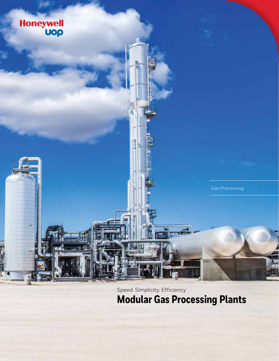

Speed. Simplicity. Efficiency **Modular Gas Processing Plants**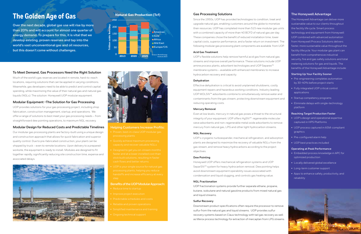# **The Golden Age of Gas**

**Over the next decade, global gas use will rise by more than 20% and will account for almost one quarter of energy demand. To prepare for this, it is vital that we develop existing, proven reserves and tap into the world's vast unconventional gas and oil resources, but this doesn't come without challenges.**

# **To Meet Demand, Gas Processors Need the Right Solution**

Much of the world's gas reserves are located in remote, hard-to-reach locations, requiring solutions that can be applied in varying conditions. Meanwhile, gas developers need to be able to predict and control capital spending, while maximizing the value of their natural gas and natural gas liquids (NGLs). The solution: Honeywell UOP modular equipment.

# **Modular Equipment –The Solution for Gas Processing**

UOP provides solutions for your gas processing project, including shop fabrication, construction management, startup, and operations. We offer a range of solutions to best meet your gas processing needs – from straightforward dew pointing operations, to maximum NGL recovery.

# **Modular Design for Reduced Costs and Predictable Timelines**

Our modular gas processing plants are factory-built using a unique design and construction approach that allows for quick fabrication and superior quality control. Due to pre-fabricated construction, your plant can be shipped by truck – even to remote locations. Upon delivery to a prepared worksite, the equipment is ready to install. Modules are designed to fit together rapidly, significantly reducing site construction time, expense and associated delays.





#### **Helping Customers Increase Profits:**

- 
- 
- 
- 

#### **Benefits of the UOP Modular Approach:**

- 
- 
- Predictable schedules and costs
- 
- 
- 

# **Gas Processing Solutions**

Since the 1950s, UOP has provided technologies to condition, treat and upgrade natural gas, enabling customers around the globe to monetize their resources. UOP has completed more than 515 new modular gas units with a combined capacity of more than 40 BCFD of natural gas per day. These companies chose the benefit of reduced installation time, lower capital costs, superior performance, and a faster return on investment. The following modular gas processing plant components are available from UOP.

#### **Acid Gas Treatment**

UOP's flexible solutions help remove harmful acid gas from natural gas streams and improve overall performance. These solutions include UOP amine process plants, adsorbent technologies and UOP Separex™ membrane systems – available with enhanced membranes to increase hydrocarbon recovery and capacity.

#### **Dehydration**

Effective dehydration is critical to avoid unplanned shutdowns, costly equipment repairs and hazardous working conditions. Industry leading UOP MOLSIV™ adsorbents combine to simultaneously remove water and contaminants from the gas stream, protecting downstream equipment and reducing operating costs.

#### **Mercury Removal**

Even at low levels, mercury in natural gas poses a threat to the structural integrity of your equipment. UOP offers HgSIV™ regenerable molecular sieve adsorbents and non-regenerable metal oxide adsorbents to remove mercury from natural gas, LPG and other light hydrocarbon streams.

#### **NGL Recovery**

UOP's cryogenic turboexpander, mechanical refrigeration, and adsorption plants are designed to maximize the recovery of valuable NGLs from the gas stream, and remove heavy hydrocarbons according to the project objectives.

#### **Dew Pointing**

Honeywell UOP offers mechanical refrigeration systems and UOP SeparSIV<sup>™</sup> system for heavy hydrocarbon removal. Dew pointing helps avoid downstream equipment operability issues associated with condensation and liquid slugging, and controls gas heating value.

#### **NGL Fractionation**

UOP fractionation systems provide further separate ethane, propane, butane, isobutane and natural gasoline products from mixed natural gas and liquid streams.

#### **Sulfur Recovery**

Downstream product specifications often require the processor to remove sulfur from the natural gas and liquid streams. UOP provides sulfur recovery systems based on Claus technology with tail gas recovery as well as Merox process technology for extraction of mercaptan from LPG streams.

# **The Honeywell Advantage**

The Honeywell Advantage can deliver more sustainable value to our clients throughout the facility life cycle. Smart process technology and equipment from Honeywell UOP combined with advanced automation from Honeywell Process Solutions delivers faster, more sustainable value throughout the facility lifecycle. Your modular gas plant can benefit from comprehensive industrial security, fire and gas safety solutions and total metering solutions for gas and liquids. The benefits of the Honeywell Advantage include:

#### **Starting Up Your Facility Sooner**

- Pre-engineering completes automation by 30-40% before project starts
- Fully integrated UOP critical control applications
- Startup competency programs
- Eliminate delays with single-technology platform

#### **Reaching Target Production Faster**

- UOP's design and operational expertise captured in HPS Platforms
- UOP process captured in ASM-compliant graphics<sup>1</sup>
- Pre-configured alarm help
- UOP best practices included

#### **Operating at Peak Performance**

- Embedded process knowledge in APC for optimized production
- Locally delivered global excellence
- Long-term customer support
- Apps to enhance safety, productivity, and reliability



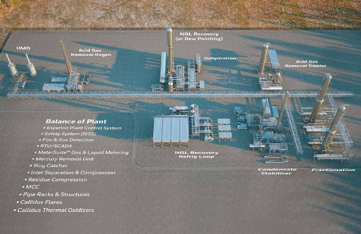

# **Balance of Plant**

- Experion Plant Control System
- Safety System (ISSS)
- Fire & Gas Detection
- · RTU/SCADA
- MeterSuite<sup>™</sup> Gas & Liquid Metering
- Mercury Removal Unit
- · Slug Catcher
- Inlet Separation & Compression
- Residue Compression
- $-MCC$
- · Pipe Racks & Structures
- Callidus Flares
- Callidus Thermal Oxidizers

# **NGL Recovery Refrig Loop**

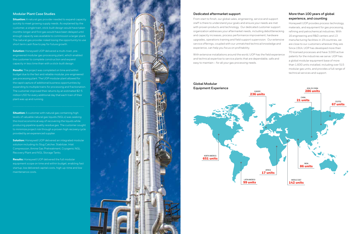# **Modular Plant Case Studies**

**Situation:** A natural gas provider needed to expand capacity quickly to meet growing supply needs. As explained by the customer, a single train, stick-built design would have taken months longer and first gas would have been delayed until enough capacity was available to commission a larger plant. The natural gas provider risked losing the opportunity to use short term cash flow to pay for future growth.

**Solution:** Honeywell UOP delivered a multi-train, preengineered modular gas processing plant, which enabled the customer to complete construction and expand capacity in less time than with a stick-built design.

**Situation:** A customer with natural gas containing high levels of valuable natural gas liquids (NGLs) was seeking the most economical way of recovering the liquids while producing pipeline quality residue gas. The customer sought to minimize project risk through a proven high recovery cycle provided by an experienced supplier.

**Results:** The project was completed on time and within budget due to the fast and reliable modular, pre-engineered gas processing plant. The UOP modular plant allowed for the rapid capture of additional business opportunities by expanding to multiple trains for processing and fractionation. The customer improved their returns by an estimated \$2-5 million USD for every additional day that each train of their plant was up and running.

**Solution:** Honeywell UOP delivered an integrated modular solution including its Slug Catcher, Stabilizer, Inlet Compression, Amine Gas Pretreatment, Cryogenic NGL Recovery Plant and NGL Storage Tanks.

**Results:** Honeywell UOP delivered the full modular equipment scope on time and within budget, enabling fast startup, low delivered capital costs, high up-time and low maintenance costs.



### **Dedicated aftermarket support**

From start to finish, our global sales, engineering, service and support staff is there to understand your goals and ensure your needs are met with proven products and technology. Our dedicated customer support organization addresses your aftermarket needs, including debottlenecking and capacity increases, process performance improvement, hardware upgrades, operations training and field support supervision. Our extensive service offerings, coupled with our unmatched technical knowledge and experience, can help you focus on profitability.

With extensive installations around the world, UOP has the field experience and technical expertise to service plants that are dependable, safe and easy to maintain – for all your gas processing needs.

# **More than 100 years of global experience, and counting**

Honeywell UOP provides process technology, materials, and equipment for gas processing, refining and petrochemical industries. With 16 engineering and R&D centers and 13 manufacturing facilities in 19 countries, we are close to our customers wherever they are. Since 1914, UOP has developed more than 70 licensed processes and have 3,000 active patents for the industries we serve. UOP has a global modular equipment base of more than 1,600 units installed, including over 515 modular gas units, and provides a full range of technical services and support.



**Global Modular Equipment Experience**